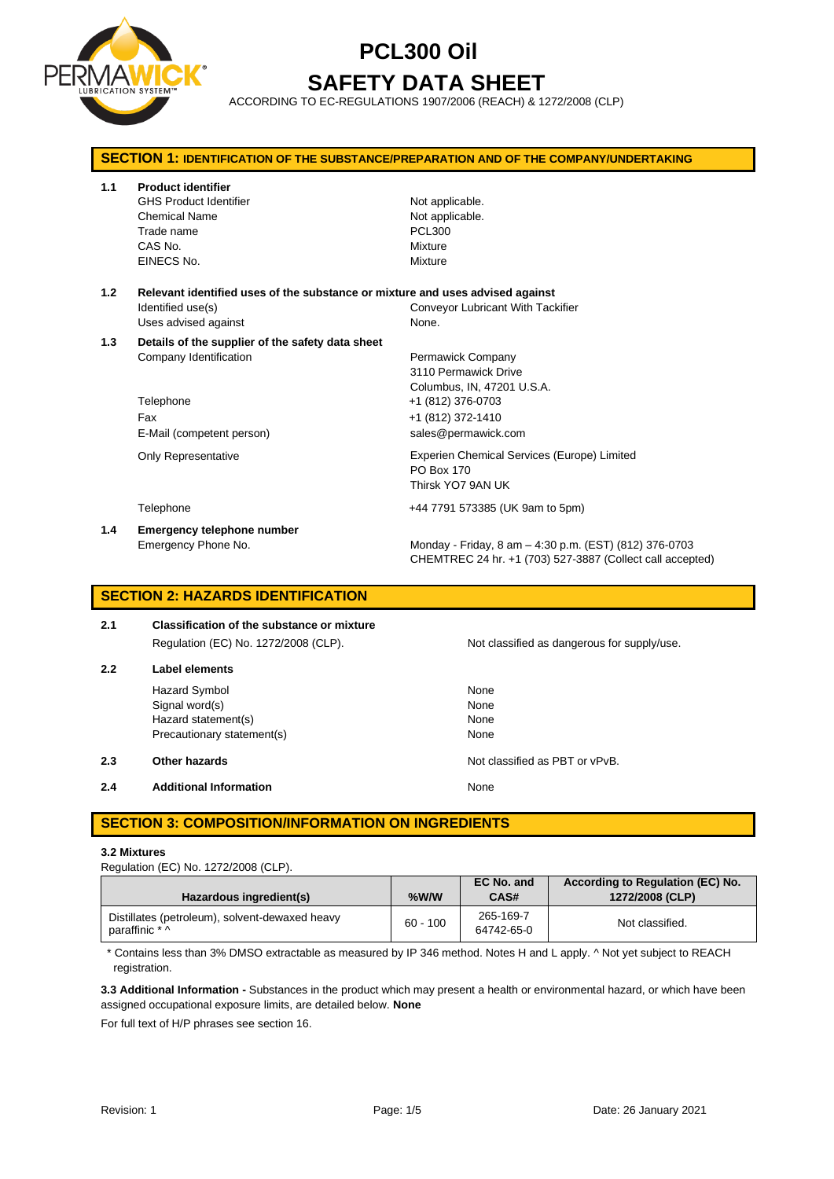

# **PCL300 Oil SAFETY DATA SHEET**

ACCORDING TO EC-REGULATIONS 1907/2006 (REACH) & 1272/2008 (CLP)

| <b>SECTION 1: IDENTIFICATION OF THE SUBSTANCE/PREPARATION AND OF THE COMPANY/UNDERTAKING</b> |                                                                                                                             |                                                                                                                                          |  |
|----------------------------------------------------------------------------------------------|-----------------------------------------------------------------------------------------------------------------------------|------------------------------------------------------------------------------------------------------------------------------------------|--|
| 1.1                                                                                          | <b>Product identifier</b><br><b>GHS Product Identifier</b><br><b>Chemical Name</b><br>Trade name<br>CAS No.<br>EINECS No.   | Not applicable.<br>Not applicable.<br><b>PCL300</b><br>Mixture<br>Mixture                                                                |  |
| 1.2                                                                                          | Relevant identified uses of the substance or mixture and uses advised against<br>Identified use(s)<br>Uses advised against  | <b>Conveyor Lubricant With Tackifier</b><br>None.                                                                                        |  |
| 1.3                                                                                          | Details of the supplier of the safety data sheet<br>Company Identification<br>Telephone<br>Fax<br>E-Mail (competent person) | Permawick Company<br>3110 Permawick Drive<br>Columbus, IN, 47201 U.S.A.<br>+1 (812) 376-0703<br>+1 (812) 372-1410<br>sales@permawick.com |  |
|                                                                                              | Only Representative                                                                                                         | Experien Chemical Services (Europe) Limited<br><b>PO Box 170</b><br>Thirsk YO7 9AN UK                                                    |  |
|                                                                                              | Telephone                                                                                                                   | +44 7791 573385 (UK 9am to 5pm)                                                                                                          |  |
| 1.4                                                                                          | <b>Emergency telephone number</b><br>Emergency Phone No.                                                                    | Monday - Friday, 8 am - 4:30 p.m. (EST) (812) 376-0703<br>CHEMTREC 24 hr. +1 (703) 527-3887 (Collect call accepted)                      |  |

## **SECTION 2: HAZARDS IDENTIFICATION**

| 2.1 | <b>Classification of the substance or mixture</b> |  |
|-----|---------------------------------------------------|--|
|     | Regulation (EC) No. 1272/2008 (CLP).              |  |
| 2.2 | Label elements                                    |  |

Hazard Symbol None Signal word(s) None Hazard statement(s) None Precautionary statement(s) None

**2.3 Other hazards Details According to the COVID-100 Motion COVID-100 Motion COVID-100 Motion COVID-100 Motion COVID-100 Motion COVID-100 Motion COVID-100 Motion COVID-100 Motion COVID-100 Motion COVID-100 Motion COVI** 

**2.4 Additional Information None** 

## **SECTION 3: COMPOSITION/INFORMATION ON INGREDIENTS**

### **3.2 Mixtures**

Regulation (EC) No. 1272/2008 (CLP).

| Hazardous ingredient(s)                                          | %W/W       | EC No. and<br>CAS#      | According to Regulation (EC) No.<br>1272/2008 (CLP) |
|------------------------------------------------------------------|------------|-------------------------|-----------------------------------------------------|
| Distillates (petroleum), solvent-dewaxed heavy<br>paraffinic * ^ | $60 - 100$ | 265-169-7<br>64742-65-0 | Not classified.                                     |

\* Contains less than 3% DMSO extractable as measured by IP 346 method. Notes H and L apply. ^ Not yet subject to REACH registration.

**3.3 Additional Information -** Substances in the product which may present a health or environmental hazard, or which have been assigned occupational exposure limits, are detailed below. **None**

For full text of H/P phrases see section 16.

Not classified as dangerous for supply/use.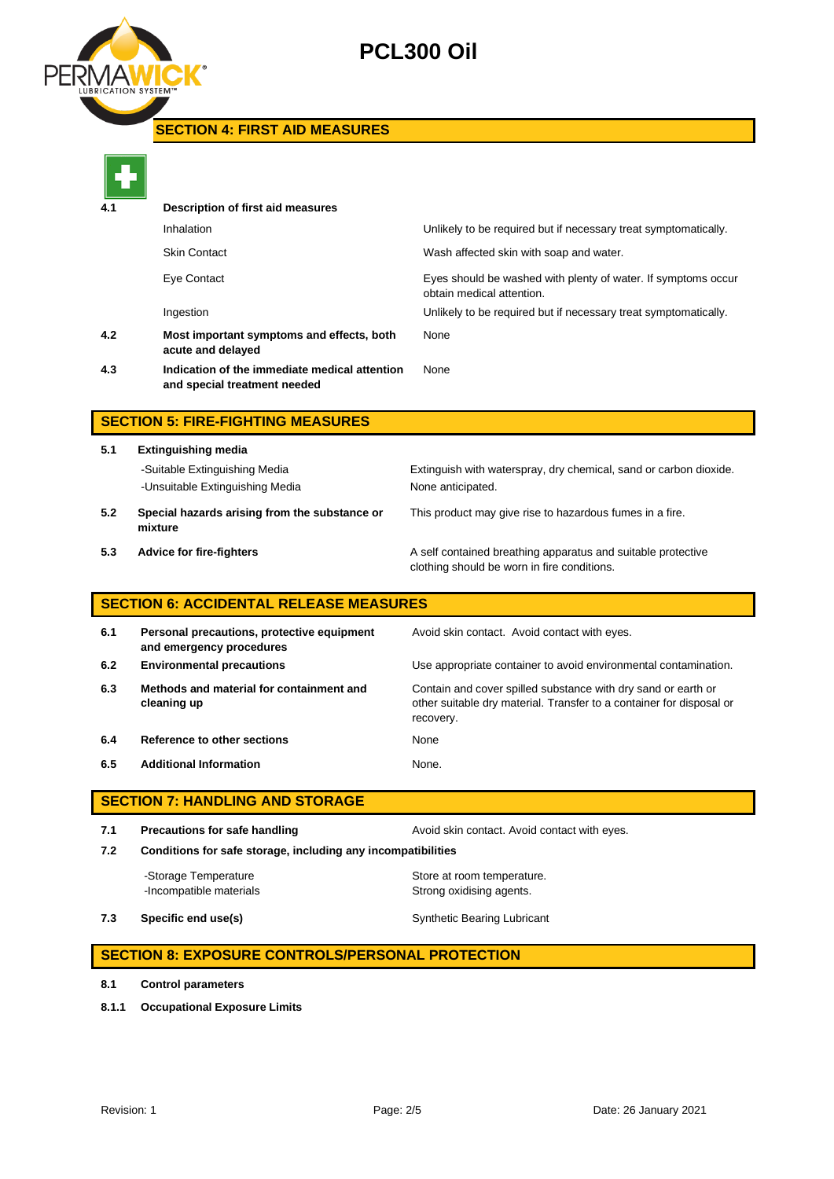

# **PCL300 Oil**

### **SECTION 4: FIRST AID MEASURES**



| _______ |                                                                               |                                                                                            |  |
|---------|-------------------------------------------------------------------------------|--------------------------------------------------------------------------------------------|--|
| 4.1     | Description of first aid measures                                             |                                                                                            |  |
|         | Inhalation                                                                    | Unlikely to be required but if necessary treat symptomatically.                            |  |
|         | <b>Skin Contact</b>                                                           | Wash affected skin with soap and water.                                                    |  |
|         | Eye Contact                                                                   | Eyes should be washed with plenty of water. If symptoms occur<br>obtain medical attention. |  |
|         | Ingestion                                                                     | Unlikely to be required but if necessary treat symptomatically.                            |  |
| 4.2     | Most important symptoms and effects, both<br>acute and delayed                | None                                                                                       |  |
| 4.3     | Indication of the immediate medical attention<br>and special treatment needed | None                                                                                       |  |
|         |                                                                               |                                                                                            |  |

## **SECTION 5: FIRE-FIGHTING MEASURES**

**5.1 Extinguishing media** -Unsuitable Extinguishing Media None anticipated. **5.2 Special hazards arising from the substance or**  This product may give rise to hazardous fumes in a fire.

-Suitable Extinguishing Media Extinguish with waterspray, dry chemical, sand or carbon dioxide.

- **mixture**
- 

**5.3 Advice for fire-fighters A self** contained breathing apparatus and suitable protective clothing should be worn in fire conditions.

### **SECTION 6: ACCIDENTAL RELEASE MEASURES**

| 6.1 | Personal precautions, protective equipment<br>and emergency procedures | Avoid skin contact. Avoid contact with eyes.                                                                                                       |
|-----|------------------------------------------------------------------------|----------------------------------------------------------------------------------------------------------------------------------------------------|
| 6.2 | <b>Environmental precautions</b>                                       | Use appropriate container to avoid environmental contamination.                                                                                    |
| 6.3 | Methods and material for containment and<br>cleaning up                | Contain and cover spilled substance with dry sand or earth or<br>other suitable dry material. Transfer to a container for disposal or<br>recovery. |
| 6.4 | Reference to other sections                                            | None                                                                                                                                               |
| 6.5 | <b>Additional Information</b>                                          | None.                                                                                                                                              |

### **SECTION 7: HANDLING AND STORAGE**

**7.1 Precautions for safe handling Avoid skin contact. Avoid contact with eyes. 7.2 Conditions for safe storage, including any incompatibilities**

-Storage Temperature **Store at room temperature.** -Incompatible materials **Strong oxidising agents**.

**7.3 Specific end use(s)** Synthetic Bearing Lubricant

### **SECTION 8: EXPOSURE CONTROLS/PERSONAL PROTECTION**

- **8.1 Control parameters**
- **8.1.1 Occupational Exposure Limits**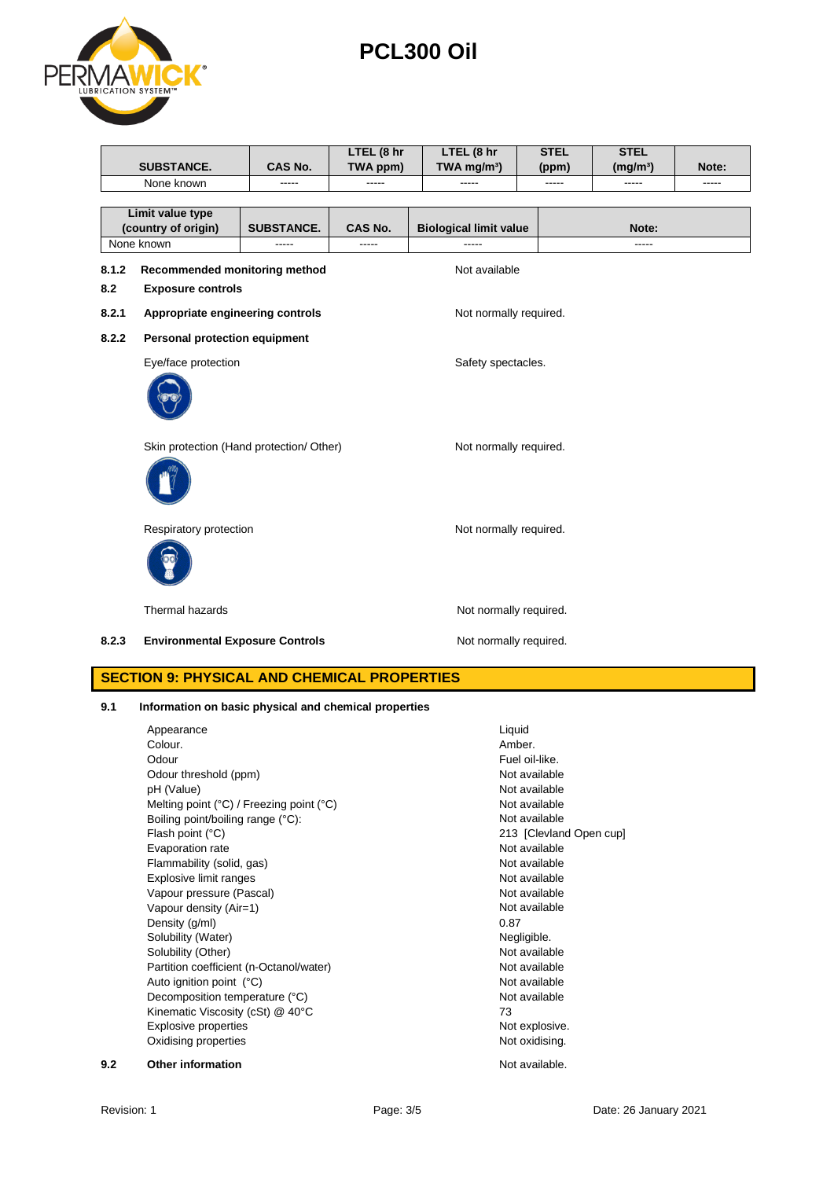**8.1.2 Recommended monitoring method** Not available

**8.2 Exposure controls**

**Limit value type** 

8.2.1 **Appropriate engineering controls** Not normally required.

**SUBSTANCE. CAS No.**

- **8.2.2 Personal protection equipment**
	- Eye/face protection extensive state of the Safety spectacles.



Skin protection (Hand protection/ Other) Not normally required.



Respiratory protection Not normally required.



Thermal hazards **Not normally required.** 

**8.2.3 Environmental Exposure Controls Notified Motion Not normally required.** 

### **SECTION 9: PHYSICAL AND CHEMICAL PROPERTIES**

**9.1 Information on basic physical and chemical properties**

Appearance Liquid<br>Colour. Colour Colour Colour Colour Colour Colour Colour Colour Colour Colour Colour Colour Colour. Amber. Odour **Fuel oil-like.** Odour threshold (ppm) Not available pH (Value) Not available Melting point (°C) / Freezing point (°C) Not available Boiling point/boiling range (°C): Not available Flash point (°C) 213 [Clevland Open cup] Evaporation rate Not available Flammability (solid, gas) Not available Explosive limit ranges Not available Vapour pressure (Pascal) Vapour pressure (Pascal) Vapour density (Air=1) Not available Density (g/ml) 0.87 Solubility (Water) Negligible. Solubility (Other) Not available Partition coefficient (n-Octanol/water) Not available Auto ignition point (°C) and the contract of the Mot available Not available Decomposition temperature (°C) Not available Kinematic Viscosity (cSt) @ 40°C 73 Explosive properties **Not explosive.** Not explosive. Oxidising properties Not oxidising. **9.2 Other information Not available. Not available.** 



None known ----- ----- ----- ----- ----- -----

**LTEL (8 hr TWA mg/m³)** **STEL (ppm)** **STEL** 

**(mg/m³) Note:**

**PCL300 Oil**

**LTEL (8 hr TWA ppm)**

**(country of origin) SUBSTANCE. CAS No. Biological limit value Note:** None known ----- ----- ----- -----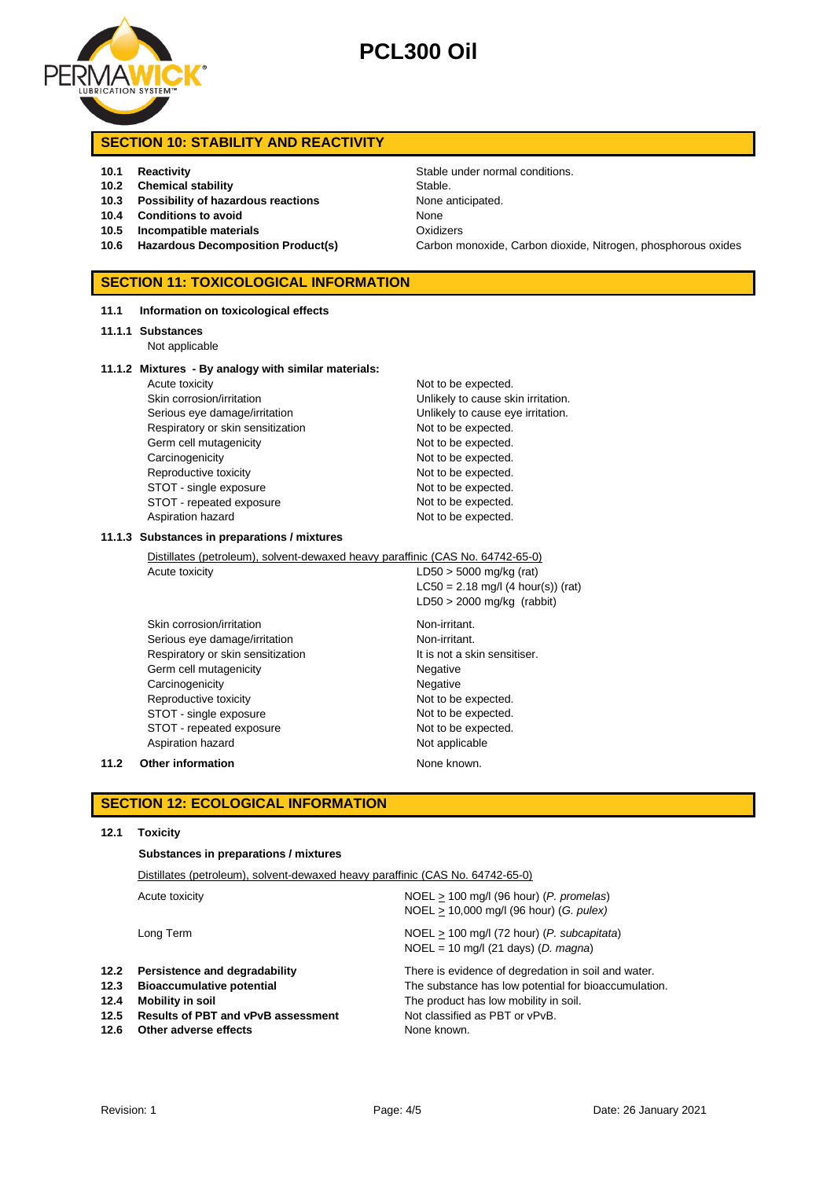

# **PCL300 Oil**

### **SECTION 10: STABILITY AND REACTIVITY**

### **10.1 Reactivity 10.1 Reactivity Stable under normal conditions.**

- **10.2 Chemical stability** Stable.
- **10.3 Possibility of hazardous reactions** None anticipated.
- **10.4 Conditions to avoid** None
- **10.5 Incompatible materials** Oxidizers
- 

### **SECTION 11: TOXICOLOGICAL INFORMATION**

#### **11.1 Information on toxicological effects**

#### **11.1.1 Substances**

Not applicable

#### **11.1.2 Mixtures - By analogy with similar materials:**

Acute toxicity and the expected. Skin corrosion/irritation **Value 2018** Unlikely to cause skin irritation. Serious eye damage/irritation **Exercise 20** Unlikely to cause eye irritation. Respiratory or skin sensitization Not to be expected. Germ cell mutagenicity expected. Carcinogenicity **Not to be expected.** Reproductive toxicity Not to be expected. STOT - single exposure Not to be expected. STOT - repeated exposure Not to be expected. Aspiration hazard Not to be expected.

#### **11.1.3 Substances in preparations / mixtures**

Distillates (petroleum), solvent-dewaxed heavy paraffinic (CAS No. 64742-65-0)

Acute toxicity  $LD50 > 5000$  mg/kg (rat) LC50 = 2.18 mg/l (4 hour(s)) (rat) LD50 > 2000 mg/kg (rabbit)

Skin corrosion/irritation Non-irritant. Serious eye damage/irritation Non-irritant. Respiratory or skin sensitization It is not a skin sensitiser. Germ cell mutagenicity **Negative** Negative Carcinogenicity **Negative** Negative Reproductive toxicity Not to be expected. STOT - single exposure Not to be expected. STOT - repeated exposure Not to be expected. Aspiration hazard Not applicable

**11.2 Other information None known.** 

### **SECTION 12: ECOLOGICAL INFORMATION**

#### **12.1 Toxicity**

#### **Substances in preparations / mixtures**

| $NOEL > 100$ mg/l (96 hour) (P. promelas)<br>Acute toxicity<br>NOEL > 10,000 mg/l (96 hour) (G. pulex)<br>$NOEL > 100$ mg/l (72 hour) ( <i>P. subcapitata</i> )<br>Long Term<br>$NOEL = 10$ mg/l (21 days) (D. magna)<br>12.2<br>Persistence and degradability<br>There is evidence of degredation in soil and water.<br>12.3<br><b>Bioaccumulative potential</b><br>The substance has low potential for bioaccumulation.<br>12.4<br>The product has low mobility in soil.<br>Mobility in soil<br>12.5<br>Not classified as PBT or vPvB.<br><b>Results of PBT and vPvB assessment</b><br>12.6<br>Other adverse effects<br>None known. | Distillates (petroleum), solvent-dewaxed heavy paraffinic (CAS No. 64742-65-0) |  |  |
|---------------------------------------------------------------------------------------------------------------------------------------------------------------------------------------------------------------------------------------------------------------------------------------------------------------------------------------------------------------------------------------------------------------------------------------------------------------------------------------------------------------------------------------------------------------------------------------------------------------------------------------|--------------------------------------------------------------------------------|--|--|
|                                                                                                                                                                                                                                                                                                                                                                                                                                                                                                                                                                                                                                       |                                                                                |  |  |
|                                                                                                                                                                                                                                                                                                                                                                                                                                                                                                                                                                                                                                       |                                                                                |  |  |
|                                                                                                                                                                                                                                                                                                                                                                                                                                                                                                                                                                                                                                       |                                                                                |  |  |

**10.6 Hazardous Decomposition Product(s)** Carbon monoxide, Carbon dioxide, Nitrogen, phosphorous oxides